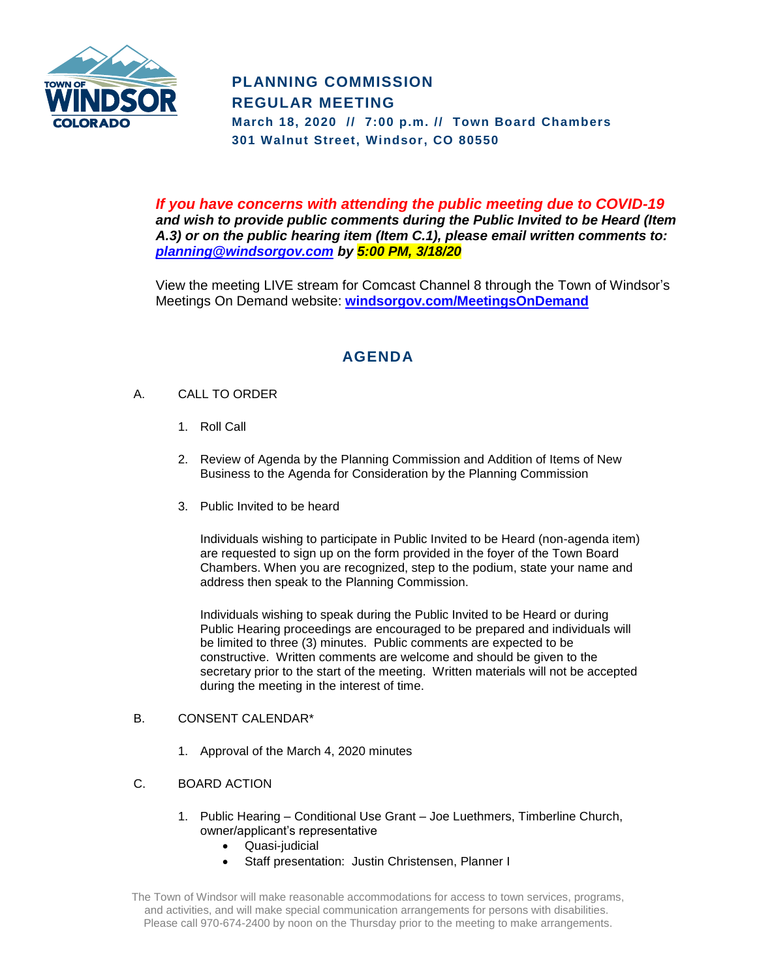

# **PLANNING COMMISSION REGULAR MEETING**

**March 18, 2020 // 7:00 p.m. // Town Board Chambers 301 Walnut Street, Windsor, CO 80550**

*If you have concerns with attending the public meeting due to COVID-19 and wish to provide public comments during the Public Invited to be Heard (Item A.3) or on the public hearing item (Item C.1), please email written comments to: [planning@windsorgov.com](mailto:planning@windsorgov.com) by 5:00 PM, 3/18/20*

View the meeting LIVE stream for Comcast Channel 8 through the Town of Windsor's Meetings On Demand website: **[windsorgov.com/MeetingsOnDemand](https://www.windsorgov.com/813/Meetings-on-Demand)**

# **AGENDA**

## A. CALL TO ORDER

- 1. Roll Call
- 2. Review of Agenda by the Planning Commission and Addition of Items of New Business to the Agenda for Consideration by the Planning Commission
- 3. Public Invited to be heard

Individuals wishing to participate in Public Invited to be Heard (non-agenda item) are requested to sign up on the form provided in the foyer of the Town Board Chambers. When you are recognized, step to the podium, state your name and address then speak to the Planning Commission.

Individuals wishing to speak during the Public Invited to be Heard or during Public Hearing proceedings are encouraged to be prepared and individuals will be limited to three (3) minutes. Public comments are expected to be constructive. Written comments are welcome and should be given to the secretary prior to the start of the meeting. Written materials will not be accepted during the meeting in the interest of time.

#### B. CONSENT CALENDAR\*

- 1. Approval of the March 4, 2020 minutes
- C. BOARD ACTION
	- 1. Public Hearing Conditional Use Grant Joe Luethmers, Timberline Church, owner/applicant's representative
		- Quasi-judicial
		- Staff presentation: Justin Christensen, Planner I

The Town of Windsor will make reasonable accommodations for access to town services, programs, and activities, and will make special communication arrangements for persons with disabilities. Please call 970-674-2400 by noon on the Thursday prior to the meeting to make arrangements.